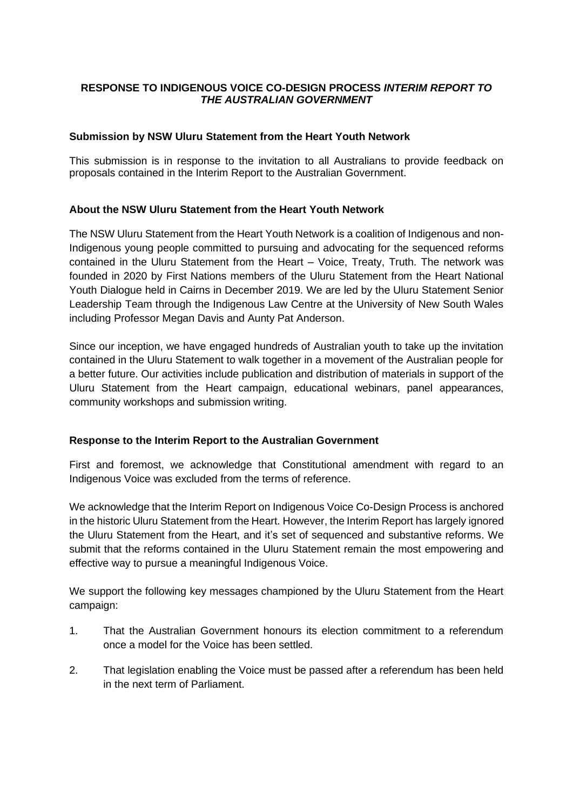# **RESPONSE TO INDIGENOUS VOICE CO-DESIGN PROCESS** *INTERIM REPORT TO THE AUSTRALIAN GOVERNMENT*

## **Submission by NSW Uluru Statement from the Heart Youth Network**

This submission is in response to the invitation to all Australians to provide feedback on proposals contained in the Interim Report to the Australian Government.

## **About the NSW Uluru Statement from the Heart Youth Network**

The NSW Uluru Statement from the Heart Youth Network is a coalition of Indigenous and non-Indigenous young people committed to pursuing and advocating for the sequenced reforms contained in the Uluru Statement from the Heart – Voice, Treaty, Truth. The network was founded in 2020 by First Nations members of the Uluru Statement from the Heart National Youth Dialogue held in Cairns in December 2019. We are led by the Uluru Statement Senior Leadership Team through the Indigenous Law Centre at the University of New South Wales including Professor Megan Davis and Aunty Pat Anderson.

Since our inception, we have engaged hundreds of Australian youth to take up the invitation contained in the Uluru Statement to walk together in a movement of the Australian people for a better future. Our activities include publication and distribution of materials in support of the Uluru Statement from the Heart campaign, educational webinars, panel appearances, community workshops and submission writing.

## **Response to the Interim Report to the Australian Government**

First and foremost, we acknowledge that Constitutional amendment with regard to an Indigenous Voice was excluded from the terms of reference.

We acknowledge that the Interim Report on Indigenous Voice Co-Design Process is anchored in the historic Uluru Statement from the Heart. However, the Interim Report has largely ignored the Uluru Statement from the Heart, and it's set of sequenced and substantive reforms. We submit that the reforms contained in the Uluru Statement remain the most empowering and effective way to pursue a meaningful Indigenous Voice.

We support the following key messages championed by the Uluru Statement from the Heart campaign:

- 1. That the Australian Government honours its election commitment to a referendum once a model for the Voice has been settled.
- 2. That legislation enabling the Voice must be passed after a referendum has been held in the next term of Parliament.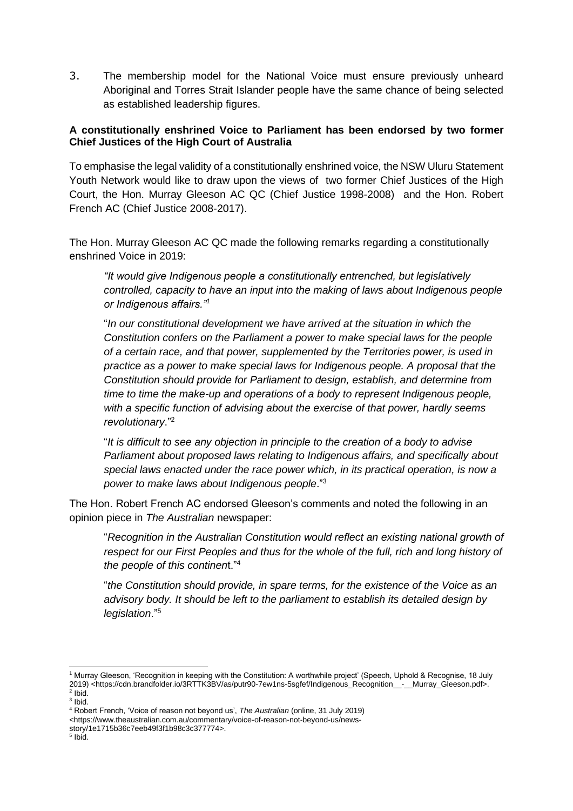3. The membership model for the National Voice must ensure previously unheard Aboriginal and Torres Strait Islander people have the same chance of being selected as established leadership figures.

## **A constitutionally enshrined Voice to Parliament has been endorsed by two former Chief Justices of the High Court of Australia**

To emphasise the legal validity of a constitutionally enshrined voice, the NSW Uluru Statement Youth Network would like to draw upon the views of two former Chief Justices of the High Court, the Hon. Murray Gleeson AC QC (Chief Justice 1998-2008) and the Hon. Robert French AC (Chief Justice 2008-2017).

The Hon. Murray Gleeson AC QC made the following remarks regarding a constitutionally enshrined Voice in 2019:

*"It would give Indigenous people a constitutionally entrenched, but legislatively controlled, capacity to have an input into the making of laws about Indigenous people or Indigenous affairs."<sup>1</sup>*

"*In our constitutional development we have arrived at the situation in which the Constitution confers on the Parliament a power to make special laws for the people of a certain race, and that power, supplemented by the Territories power, is used in practice as a power to make special laws for Indigenous people. A proposal that the Constitution should provide for Parliament to design, establish, and determine from time to time the make-up and operations of a body to represent Indigenous people, with a specific function of advising about the exercise of that power, hardly seems revolutionary*."<sup>2</sup>

"*It is difficult to see any objection in principle to the creation of a body to advise Parliament about proposed laws relating to Indigenous affairs, and specifically about special laws enacted under the race power which, in its practical operation, is now a power to make laws about Indigenous people*."<sup>3</sup>

The Hon. Robert French AC endorsed Gleeson's comments and noted the following in an opinion piece in *The Australian* newspaper:

"*Recognition in the Australian Constitution would reflect an existing national growth of respect for our First Peoples and thus for the whole of the full, rich and long history of the people of this continen*t."<sup>4</sup>

"*the Constitution should provide, in spare terms, for the existence of the Voice as an advisory body. It should be left to the parliament to establish its detailed design by legislation*."<sup>5</sup>

<sup>1</sup> Murray Gleeson, 'Recognition in keeping with the Constitution: A worthwhile project' (Speech, Uphold & Recognise, 18 July 2019) <https://cdn.brandfolder.io/3RTTK3BV/as/putr90-7ew1ns-5sgfef/Indigenous\_Recognition\_\_-\_\_Murray\_Gleeson.pdf>. 2 Ibid.

<sup>3</sup> Ibid.

<sup>4</sup> Robert French, 'Voice of reason not beyond us', *The Australian* (online, 31 July 2019)

<sup>&</sup>lt;https://www.theaustralian.com.au/commentary/voice-of-reason-not-beyond-us/news-

story/1e1715b36c7eeb49f3f1b98c3c377774>.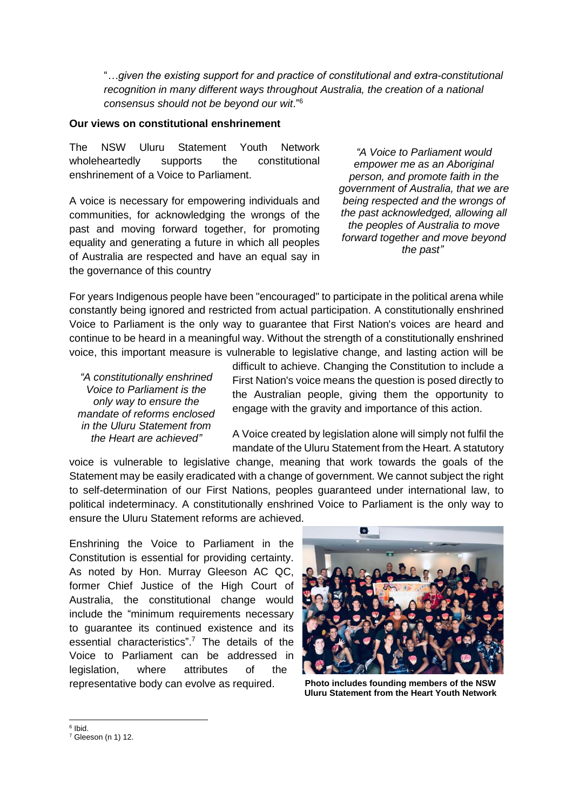"*…given the existing support for and practice of constitutional and extra-constitutional recognition in many different ways throughout Australia, the creation of a national consensus should not be beyond our wit*."<sup>6</sup>

### **Our views on constitutional enshrinement**

The NSW Uluru Statement Youth Network wholeheartedly supports the constitutional enshrinement of a Voice to Parliament.

A voice is necessary for empowering individuals and communities, for acknowledging the wrongs of the past and moving forward together, for promoting equality and generating a future in which all peoples of Australia are respected and have an equal say in the governance of this country

*"A Voice to Parliament would empower me as an Aboriginal person, and promote faith in the government of Australia, that we are being respected and the wrongs of the past acknowledged, allowing all the peoples of Australia to move forward together and move beyond the past"* 

For years Indigenous people have been "encouraged" to participate in the political arena while constantly being ignored and restricted from actual participation. A constitutionally enshrined Voice to Parliament is the only way to guarantee that First Nation's voices are heard and continue to be heard in a meaningful way. Without the strength of a constitutionally enshrined voice, this important measure is vulnerable to legislative change, and lasting action will be

*"A constitutionally enshrined Voice to Parliament is the only way to ensure the mandate of reforms enclosed in the Uluru Statement from the Heart are achieved"*

difficult to achieve. Changing the Constitution to include a First Nation's voice means the question is posed directly to the Australian people, giving them the opportunity to engage with the gravity and importance of this action.

A Voice created by legislation alone will simply not fulfil the mandate of the Uluru Statement from the Heart. A statutory

voice is vulnerable to legislative change, meaning that work towards the goals of the Statement may be easily eradicated with a change of government. We cannot subject the right to self-determination of our First Nations, peoples guaranteed under international law, to political indeterminacy. A constitutionally enshrined Voice to Parliament is the only way to ensure the Uluru Statement reforms are achieved.

Enshrining the Voice to Parliament in the Constitution is essential for providing certainty. As noted by Hon. Murray Gleeson AC QC, former Chief Justice of the High Court of Australia, the constitutional change would include the "minimum requirements necessary to guarantee its continued existence and its essential characteristics". <sup>7</sup> The details of the Voice to Parliament can be addressed in legislation, where attributes of the representative body can evolve as required.



**Photo includes founding members of the NSW Uluru Statement from the Heart Youth Network**

<sup>6</sup> Ibid.

 $7$  Gleeson (n 1) 12.